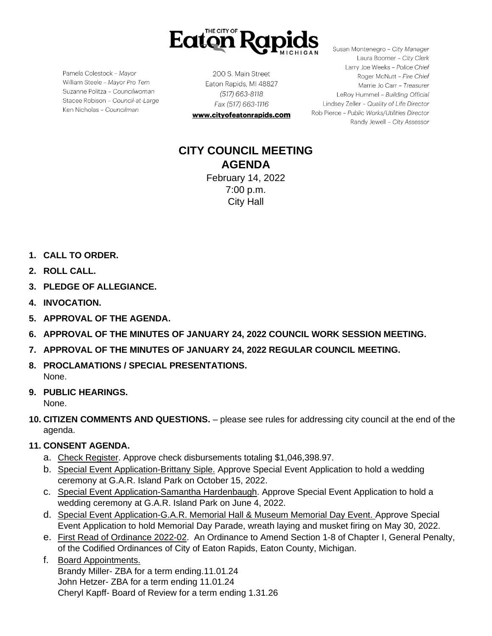

Pamela Colestock - Mayor William Steele - Mayor Pro Tem Suzanne Politza - Councilwoman Stacee Robison - Council-at-Large Ken Nicholas - Councilman

200 S. Main Street Eaton Rapids, MI 48827 (517) 663-8118 Fax (517) 663-1116

www.cityofeatonrapids.com

Susan Montenegro - City Manager Laura Boomer - City Clerk Larry Joe Weeks - Police Chief Roger McNutt - Fire Chief Marrie Jo Carr - Treasurer LeRoy Hummel - Building Official Lindsey Zeller - Quality of Life Director Rob Pierce - Public Works/Utilities Director Randy Jewell - City Assessor

# **CITY COUNCIL MEETING AGENDA** February 14, 2022

7:00 p.m. City Hall

- **1. CALL TO ORDER.**
- **2. ROLL CALL.**
- **3. PLEDGE OF ALLEGIANCE.**
- **4. INVOCATION.**
- **5. APPROVAL OF THE AGENDA.**
- **6. APPROVAL OF THE MINUTES OF JANUARY 24, 2022 COUNCIL WORK SESSION MEETING.**
- **7. APPROVAL OF THE MINUTES OF JANUARY 24, 2022 REGULAR COUNCIL MEETING.**
- **8. PROCLAMATIONS / SPECIAL PRESENTATIONS.** None.
- **9. PUBLIC HEARINGS.**

None.

**10. CITIZEN COMMENTS AND QUESTIONS.** – please see rules for addressing city council at the end of the agenda.

# **11. CONSENT AGENDA.**

- a. Check Register. Approve check disbursements totaling \$1,046,398.97.
- b. Special Event Application-Brittany Siple. Approve Special Event Application to hold a wedding ceremony at G.A.R. Island Park on October 15, 2022.
- c. Special Event Application-Samantha Hardenbaugh. Approve Special Event Application to hold a wedding ceremony at G.A.R. Island Park on June 4, 2022.
- d. Special Event Application-G.A.R. Memorial Hall & Museum Memorial Day Event. Approve Special Event Application to hold Memorial Day Parade, wreath laying and musket firing on May 30, 2022.
- e. First Read of Ordinance 2022-02. An Ordinance to Amend Section 1-8 of Chapter I, General Penalty, of the Codified Ordinances of City of Eaton Rapids, Eaton County, Michigan.

f. Board Appointments. Brandy Miller- ZBA for a term ending.11.01.24 John Hetzer- ZBA for a term ending 11.01.24 Cheryl Kapff- Board of Review for a term ending 1.31.26